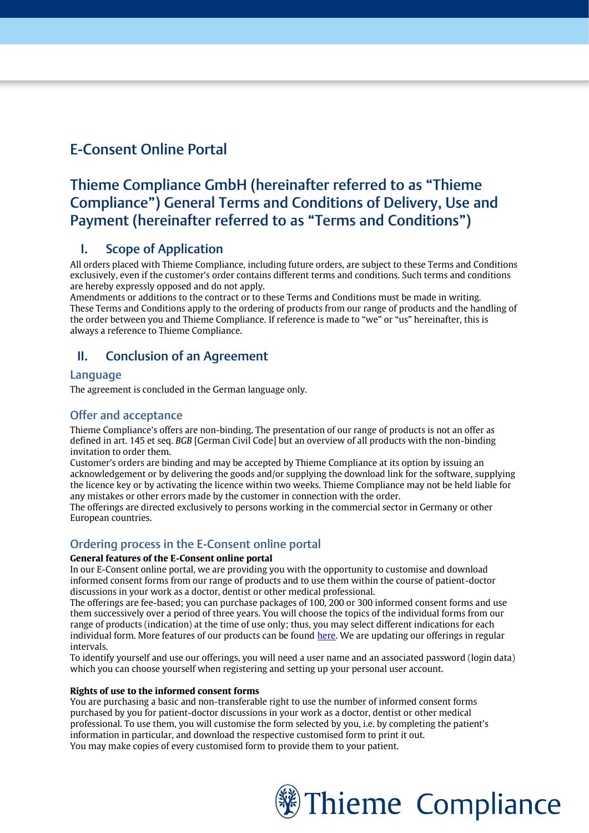# E-Consent Online Portal

# Thieme Compliance GmbH (hereinafter referred to as "Thieme Compliance") General Terms and Conditions of Delivery, Use and Payment (hereinafter referred to as "Terms and Conditions")

# I. Scope of Application

All orders placed with Thieme Compliance, including future orders, are subject to these Terms and Conditions exclusively, even if the customer's order contains different terms and conditions. Such terms and conditions are hereby expressly opposed and do not apply.

Amendments or additions to the contract or to these Terms and Conditions must be made in writing. These Terms and Conditions apply to the ordering of products from our range of products and the handling of the order between you and Thieme Compliance. If reference is made to "we" or "us" hereinafter, this is always a reference to Thieme Compliance.

# II. Conclusion of an Agreement

### **Language**

The agreement is concluded in the German language only.

### Offer and acceptance

Thieme Compliance's offers are non-binding. The presentation of our range of products is not an offer as defined in art. 145 et seq. *BGB* [German Civil Code] but an overview of all products with the non-binding invitation to order them.

Customer's orders are binding and may be accepted by Thieme Compliance at its option by issuing an acknowledgement or by delivering the goods and/or supplying the download link for the software, supplying the licence key or by activating the licence within two weeks. Thieme Compliance may not be held liable for any mistakes or other errors made by the customer in connection with the order.

The offerings are directed exclusively to persons working in the commercial sector in Germany or other European countries.

## Ordering process in the E-Consent online portal

### **General features of the E-Consent online portal**

In our E-Consent online portal, we are providing you with the opportunity to customise and download informed consent forms from our range of products and to use them within the course of patient-doctor discussions in your work as a doctor, dentist or other medical professional.

The offerings are fee-based; you can purchase packages of 100, 200 or 300 informed consent forms and use them successively over a period of three years. You will choose the topics of the individual forms from our range of products (indication) at the time of use only; thus, you may select different indications for each individual form. More features of our products can be foun[d here.](https://thieme-compliance.de/de/online-portal-e-consent/e-consent/) We are updating our offerings in regular intervals.

To identify yourself and use our offerings, you will need a user name and an associated password (login data) which you can choose yourself when registering and setting up your personal user account.

### **Rights of use to the informed consent forms**

You are purchasing a basic and non-transferable right to use the number of informed consent forms purchased by you for patient-doctor discussions in your work as a doctor, dentist or other medical professional. To use them, you will customise the form selected by you, i.e. by completing the patient's information in particular, and download the respective customised form to print it out. You may make copies of every customised form to provide them to your patient.

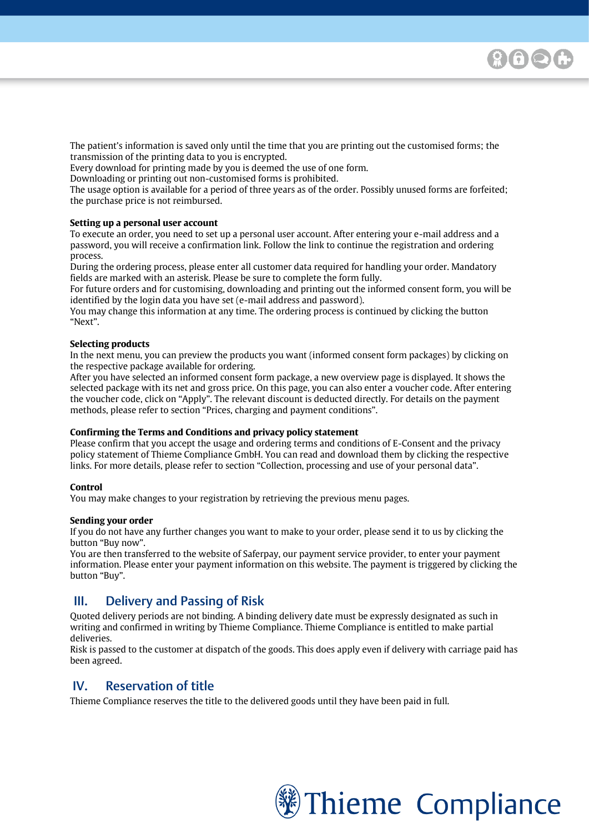The patient's information is saved only until the time that you are printing out the customised forms; the transmission of the printing data to you is encrypted.

Every download for printing made by you is deemed the use of one form.

Downloading or printing out non-customised forms is prohibited.

The usage option is available for a period of three years as of the order. Possibly unused forms are forfeited; the purchase price is not reimbursed.

### **Setting up a personal user account**

[Please enter your text here]

To execute an order, you need to set up a personal user account. After entering your e-mail address and a password, you will receive a confirmation link. Follow the link to continue the registration and ordering process.

During the ordering process, please enter all customer data required for handling your order. Mandatory fields are marked with an asterisk. Please be sure to complete the form fully.

For future orders and for customising, downloading and printing out the informed consent form, you will be identified by the login data you have set (e-mail address and password).

You may change this information at any time. The ordering process is continued by clicking the button "Next".

#### **Selecting products**

In the next menu, you can preview the products you want (informed consent form packages) by clicking on the respective package available for ordering.

After you have selected an informed consent form package, a new overview page is displayed. It shows the selected package with its net and gross price. On this page, you can also enter a voucher code. After entering the voucher code, click on "Apply". The relevant discount is deducted directly. For details on the payment methods, please refer to section "Prices, charging and payment conditions".

#### **Confirming the Terms and Conditions and privacy policy statement**

Please confirm that you accept the usage and ordering terms and conditions of E-Consent and the privacy policy statement of Thieme Compliance GmbH. You can read and download them by clicking the respective links. For more details, please refer to section "Collection, processing and use of your personal data".

#### **Control**

You may make changes to your registration by retrieving the previous menu pages.

#### **Sending your order**

If you do not have any further changes you want to make to your order, please send it to us by clicking the button "Buy now".

You are then transferred to the website of Saferpay, our payment service provider, to enter your payment information. Please enter your payment information on this website. The payment is triggered by clicking the button "Buy".

## III. Delivery and Passing of Risk

Quoted delivery periods are not binding. A binding delivery date must be expressly designated as such in writing and confirmed in writing by Thieme Compliance. Thieme Compliance is entitled to make partial deliveries.

Risk is passed to the customer at dispatch of the goods. This does apply even if delivery with carriage paid has been agreed.

## IV. Reservation of title

Thieme Compliance reserves the title to the delivered goods until they have been paid in full.

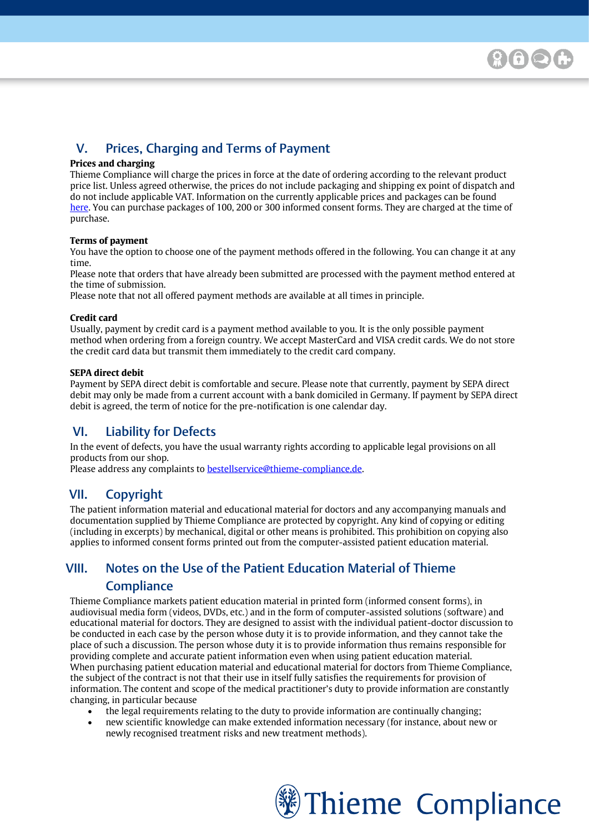# V. Prices, Charging and Terms of Payment

### **Prices and charging**

[Please enter your text here]

Thieme Compliance will charge the prices in force at the date of ordering according to the relevant product price list. Unless agreed otherwise, the prices do not include packaging and shipping ex point of dispatch and do not include applicable VAT. Information on the currently applicable prices and packages can be found [here.](https://thieme-compliance.de/de/online-portal-e-consent/preise/) You can purchase packages of 100, 200 or 300 informed consent forms. They are charged at the time of purchase.

### **Terms of payment**

You have the option to choose one of the payment methods offered in the following. You can change it at any time.

Please note that orders that have already been submitted are processed with the payment method entered at the time of submission.

Please note that not all offered payment methods are available at all times in principle.

### **Credit card**

Usually, payment by credit card is a payment method available to you. It is the only possible payment method when ordering from a foreign country. We accept MasterCard and VISA credit cards. We do not store the credit card data but transmit them immediately to the credit card company.

### **SEPA direct debit**

Payment by SEPA direct debit is comfortable and secure. Please note that currently, payment by SEPA direct debit may only be made from a current account with a bank domiciled in Germany. If payment by SEPA direct debit is agreed, the term of notice for the pre-notification is one calendar day.

## VI. Liability for Defects

In the event of defects, you have the usual warranty rights according to applicable legal provisions on all products from our shop.

Please address any complaints to **bestellservice@thieme-compliance.de**.

## VII. Copyright

The patient information material and educational material for doctors and any accompanying manuals and documentation supplied by Thieme Compliance are protected by copyright. Any kind of copying or editing (including in excerpts) by mechanical, digital or other means is prohibited. This prohibition on copying also applies to informed consent forms printed out from the computer-assisted patient education material.

# VIII. Notes on the Use of the Patient Education Material of Thieme **Compliance**

Thieme Compliance markets patient education material in printed form (informed consent forms), in audiovisual media form (videos, DVDs, etc.) and in the form of computer-assisted solutions (software) and educational material for doctors. They are designed to assist with the individual patient-doctor discussion to be conducted in each case by the person whose duty it is to provide information, and they cannot take the place of such a discussion. The person whose duty it is to provide information thus remains responsible for providing complete and accurate patient information even when using patient education material. When purchasing patient education material and educational material for doctors from Thieme Compliance, the subject of the contract is not that their use in itself fully satisfies the requirements for provision of information. The content and scope of the medical practitioner's duty to provide information are constantly changing, in particular because

- the legal requirements relating to the duty to provide information are continually changing;
- new scientific knowledge can make extended information necessary (for instance, about new or newly recognised treatment risks and new treatment methods).